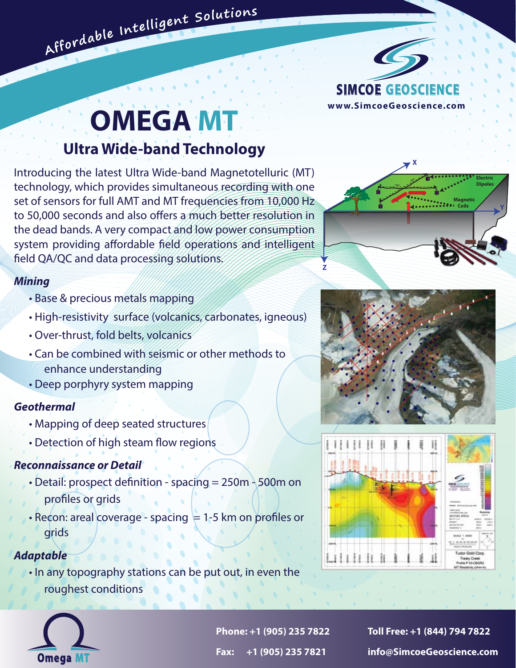

# **OMEGA MT**

Affordable Intelligent Solutions

## **Ultra Wide-band Technology**

Introducing the latest Ultra Wide-band Magnetotelluric (MT) technology, which provides simultaneous recording with one set of sensors for full AMT and MT frequencies from 10,000 Hz to 50,000 seconds and also offers a much better resolution in the dead bands. A very compact and low power consumption system providing affordable field operations and intelligent field QA/QC and data processing solutions.

#### *Mining*

- Base & precious metals mapping
- High-resistivity surface (volcanics, carbonates, igneous)
- Over-thrust, fold belts, volcanics
- Can be combined with seismic or other methods to enhance understanding
- Deep porphyry system mapping

#### *Geothermal*

- Mapping of deep seated structures
- Detection of high steam flow regions

### *Reconnaissance or Detail*

- Detail: prospect definition spacing = 250m 500m on profiles or grids
- Recon: areal coverage spacing  $= 1-5$  km on profiles or grids

### *Adaptable*

 • In any topography stations can be put out, in even the roughest conditions



**Phone: +1 (905) 235 7822 Toll Free: +1 (844) 794 7822 Fax: +1 (905) 235 7821 info@SimcoeGeoscience.com**